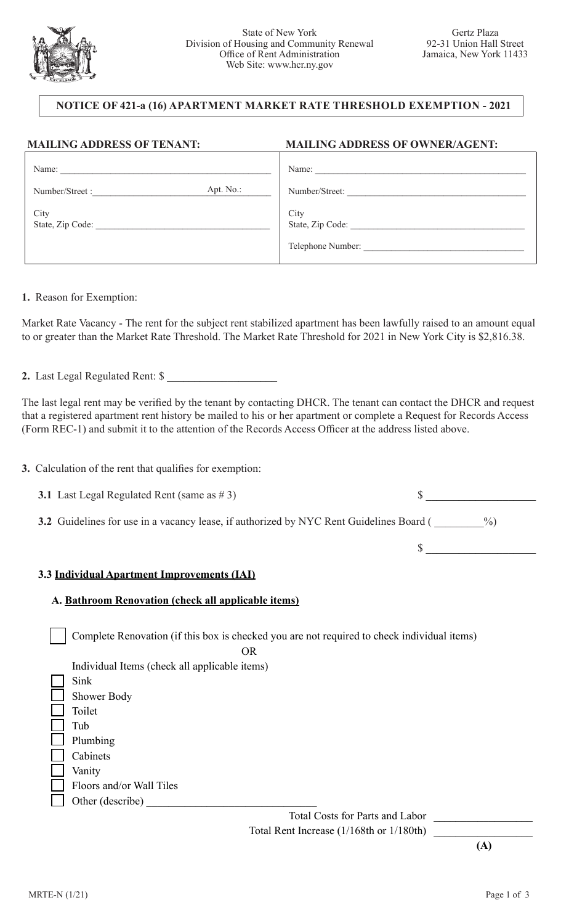

## **NOTICE OF 421-a (16) APARTMENT MARKET RATE THRESHOLD EXEMPTION - 2021**

| <b>MAILING ADDRESS OF TENANT:</b> | <b>MAILING ADDRESS OF OWNER/AGENT:</b>        |  |
|-----------------------------------|-----------------------------------------------|--|
| Name:                             | Name:                                         |  |
| Apt. No.:<br>Number/Street:       | Number/Street:                                |  |
| City<br>State, Zip Code:          | City<br>State, Zip Code:<br>Telephone Number: |  |
|                                   |                                               |  |

**1.** Reason for Exemption:

Market Rate Vacancy - The rent for the subject rent stabilized apartment has been lawfully raised to an amount equal to or greater than the Market Rate Threshold. The Market Rate Threshold for 2021 in New York City is \$2,816.38.

**2.** Last Legal Regulated Rent: \$ \_\_\_\_\_\_\_\_\_\_\_\_\_\_\_\_\_\_\_\_

The last legal rent may be verified by the tenant by contacting DHCR. The tenant can contact the DHCR and request that a registered apartment rent history be mailed to his or her apartment or complete a Request for Records Access (Form REC-1) and submit it to the attention of the Records Access Officer at the address listed above.

**3.** Calculation of the rent that qualifies for exemption:

**3.1** Last Legal Regulated Rent (same as # 3)  $\qquad$ 

**3.2** Guidelines for use in a vacancy lease, if authorized by NYC Rent Guidelines Board ( \_\_\_\_\_\_\_%)

 $\sim$ 

## **3.3 Individual Apartment Improvements (IAI)**

## **A. Bathroom Renovation (check all applicable items)**

Complete Renovation (if this box is checked you are not required to check individual items)

| $\partial R$                                  |
|-----------------------------------------------|
| Individual Items (check all applicable items) |
| Sink                                          |
| <b>Shower Body</b>                            |
| Toilet                                        |
| Tub                                           |
| Plumbing                                      |
| Cabinets                                      |
| Vanity                                        |
| Floors and/or Wall Tiles                      |
| Other (describe)                              |

Total Costs for Parts and Labor \_\_\_\_\_\_\_\_\_\_\_\_\_\_\_\_\_\_ Total Rent Increase (1/168th or 1/180th)

**(A)**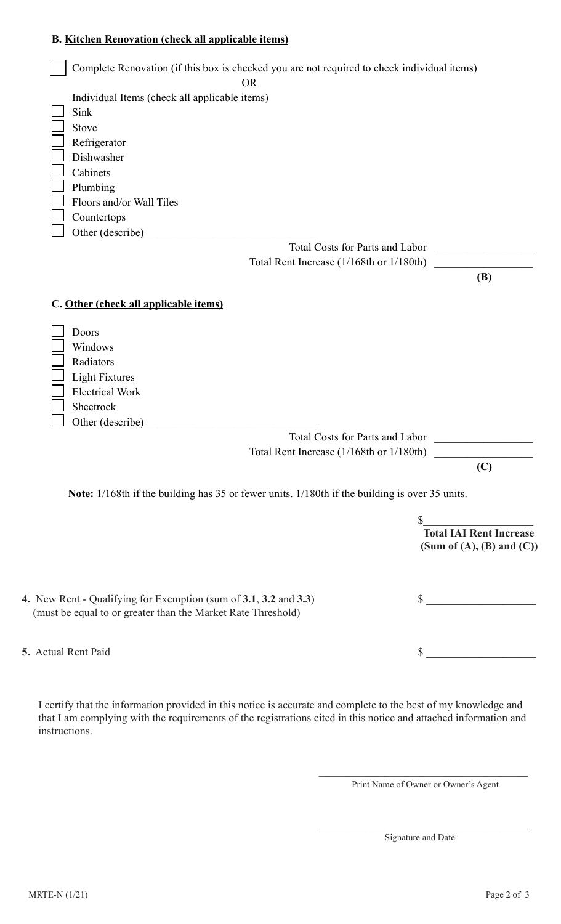## **B. Kitchen Renovation (check all applicable items)**

| Complete Renovation (if this box is checked you are not required to check individual items)<br><b>OR</b> |                                          |                                   |
|----------------------------------------------------------------------------------------------------------|------------------------------------------|-----------------------------------|
| Individual Items (check all applicable items)                                                            |                                          |                                   |
| Sink                                                                                                     |                                          |                                   |
| Stove                                                                                                    |                                          |                                   |
| Refrigerator                                                                                             |                                          |                                   |
| Dishwasher                                                                                               |                                          |                                   |
| Cabinets                                                                                                 |                                          |                                   |
| Plumbing                                                                                                 |                                          |                                   |
| Floors and/or Wall Tiles                                                                                 |                                          |                                   |
| Countertops                                                                                              |                                          |                                   |
| Other (describe)                                                                                         |                                          |                                   |
|                                                                                                          | Total Costs for Parts and Labor          |                                   |
|                                                                                                          | Total Rent Increase (1/168th or 1/180th) |                                   |
|                                                                                                          |                                          | (B)                               |
|                                                                                                          |                                          |                                   |
| C. Other (check all applicable items)                                                                    |                                          |                                   |
|                                                                                                          |                                          |                                   |
| Doors                                                                                                    |                                          |                                   |
| Windows                                                                                                  |                                          |                                   |
| Radiators                                                                                                |                                          |                                   |
| <b>Light Fixtures</b>                                                                                    |                                          |                                   |
| <b>Electrical Work</b>                                                                                   |                                          |                                   |
| Sheetrock                                                                                                |                                          |                                   |
| Other (describe)                                                                                         |                                          |                                   |
|                                                                                                          | Total Costs for Parts and Labor          |                                   |
|                                                                                                          | Total Rent Increase (1/168th or 1/180th) |                                   |
|                                                                                                          |                                          | (C)                               |
| Note: 1/168th if the building has 35 or fewer units. 1/180th if the building is over 35 units.           |                                          |                                   |
|                                                                                                          | \$                                       |                                   |
|                                                                                                          |                                          | <b>Total IAI Rent Increase</b>    |
|                                                                                                          |                                          | (Sum of $(A)$ , $(B)$ and $(C)$ ) |
|                                                                                                          |                                          |                                   |
| 4. New Rent - Qualifying for Exemption (sum of 3.1, 3.2 and 3.3)                                         |                                          | $\sim$                            |
| (must be equal to or greater than the Market Rate Threshold)                                             |                                          |                                   |
|                                                                                                          |                                          |                                   |
| 5. Actual Rent Paid                                                                                      |                                          |                                   |
|                                                                                                          |                                          |                                   |

I certify that the information provided in this notice is accurate and complete to the best of my knowledge and that I am complying with the requirements of the registrations cited in this notice and attached information and instructions.

 $\mathcal{L}_\mathcal{L}$  , we can assume that the contract of  $\mathcal{L}_\mathcal{L}$  , and the contract of  $\mathcal{L}_\mathcal{L}$ 

 $\mathcal{L}_\mathcal{L}$  , we can assume that the contract of  $\mathcal{L}_\mathcal{L}$  , and the contract of  $\mathcal{L}_\mathcal{L}$ 

Print Name of Owner or Owner's Agent

Signature and Date